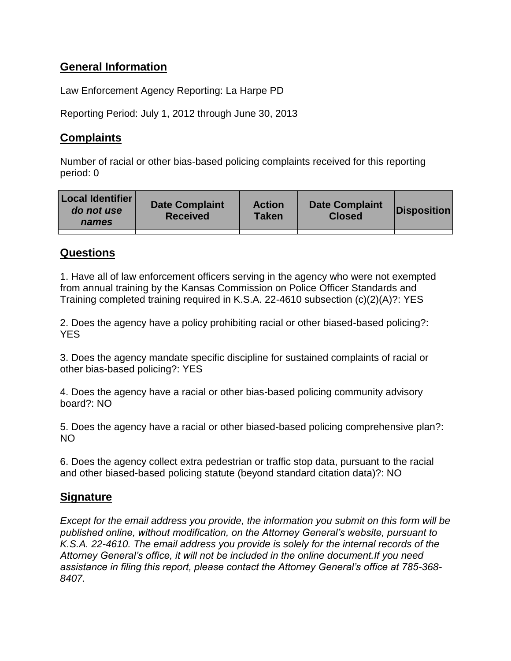# **General Information**

Law Enforcement Agency Reporting: La Harpe PD

Reporting Period: July 1, 2012 through June 30, 2013

# **Complaints**

Number of racial or other bias-based policing complaints received for this reporting period: 0

| <b>Local Identifier</b><br>do not use<br>names | <b>Date Complaint</b><br><b>Received</b> | <b>Action</b><br>Taken | <b>Date Complaint</b><br><b>Closed</b> | Disposition |
|------------------------------------------------|------------------------------------------|------------------------|----------------------------------------|-------------|
|                                                |                                          |                        |                                        |             |

### **Questions**

1. Have all of law enforcement officers serving in the agency who were not exempted from annual training by the Kansas Commission on Police Officer Standards and Training completed training required in K.S.A. 22-4610 subsection (c)(2)(A)?: YES

2. Does the agency have a policy prohibiting racial or other biased-based policing?: **YES** 

3. Does the agency mandate specific discipline for sustained complaints of racial or other bias-based policing?: YES

4. Does the agency have a racial or other bias-based policing community advisory board?: NO

5. Does the agency have a racial or other biased-based policing comprehensive plan?: NO

6. Does the agency collect extra pedestrian or traffic stop data, pursuant to the racial and other biased-based policing statute (beyond standard citation data)?: NO

# **Signature**

*Except for the email address you provide, the information you submit on this form will be published online, without modification, on the Attorney General's website, pursuant to K.S.A. 22-4610. The email address you provide is solely for the internal records of the Attorney General's office, it will not be included in the online document.If you need assistance in filing this report, please contact the Attorney General's office at 785-368- 8407.*